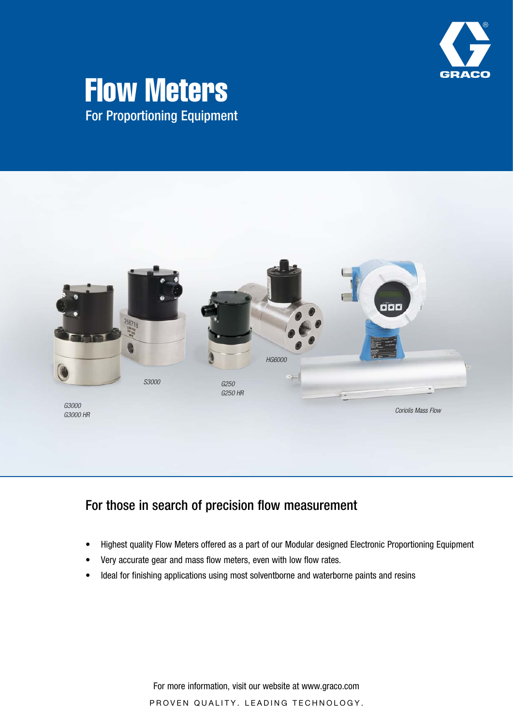

## Flow Meters For Proportioning Equipment



### For those in search of precision flow measurement

- Highest quality Flow Meters offered as a part of our Modular designed Electronic Proportioning Equipment
- Very accurate gear and mass flow meters, even with low flow rates.
- Ideal for finishing applications using most solventborne and waterborne paints and resins

For more information, visit our website at www.graco.com